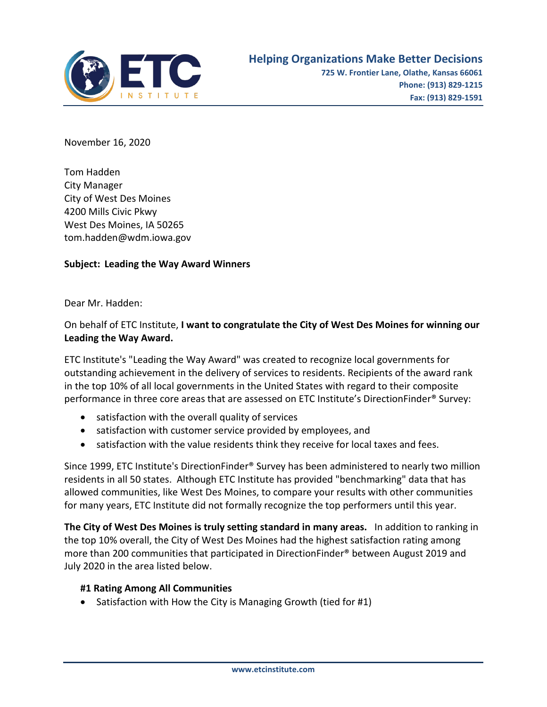

November 16, 2020

Tom Hadden City Manager City of West Des Moines 4200 Mills Civic Pkwy West Des Moines, IA 50265 tom.hadden@wdm.iowa.gov

## **Subject: Leading the Way Award Winners**

Dear Mr. Hadden:

## On behalf of ETC Institute, **I want to congratulate the City of West Des Moines for winning our Leading the Way Award.**

ETC Institute's "Leading the Way Award" was created to recognize local governments for outstanding achievement in the delivery of services to residents. Recipients of the award rank in the top 10% of all local governments in the United States with regard to their composite performance in three core areas that are assessed on ETC Institute's DirectionFinder® Survey:

- satisfaction with the overall quality of services
- satisfaction with customer service provided by employees, and
- satisfaction with the value residents think they receive for local taxes and fees.

Since 1999, ETC Institute's DirectionFinder® Survey has been administered to nearly two million residents in all 50 states. Although ETC Institute has provided "benchmarking" data that has allowed communities, like West Des Moines, to compare your results with other communities for many years, ETC Institute did not formally recognize the top performers until this year.

**The City of West Des Moines is truly setting standard in many areas.** In addition to ranking in the top 10% overall, the City of West Des Moines had the highest satisfaction rating among more than 200 communities that participated in DirectionFinder® between August 2019 and July 2020 in the area listed below.

## **#1 Rating Among All Communities**

• Satisfaction with How the City is Managing Growth (tied for #1)